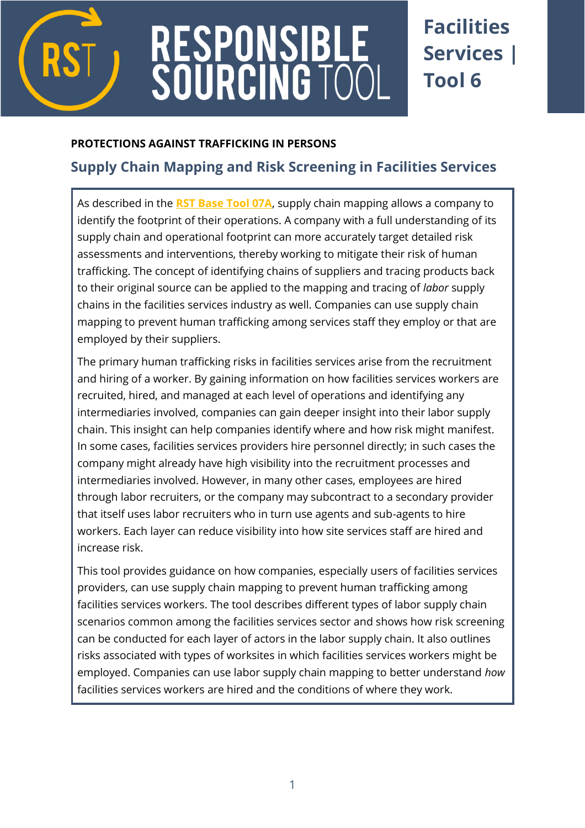

# RESPONSIBL<br>SOURCING TC

## **Facilities Services | Tool 6**

#### **PROTECTIONS AGAINST TRAFFICKING IN PERSONS**

### **Supply Chain Mapping and Risk Screening in Facilities Services**

As described in the **RST Base Tool 07A**, supply chain mapping allows a company to identify the footprint of their operations. A company with a full understanding of its supply chain and operational footprint can more accurately target detailed risk assessments and interventions, thereby working to mitigate their risk of human trafficking. The concept of identifying chains of suppliers and tracing products back to their original source can be applied to the mapping and tracing of *labor* supply chains in the facilities services industry as well. Companies can use supply chain mapping to prevent human trafficking among services staff they employ or that are employed by their suppliers.

The primary human trafficking risks in facilities services arise from the recruitment and hiring of a worker. By gaining information on how facilities services workers are recruited, hired, and managed at each level of operations and identifying any intermediaries involved, companies can gain deeper insight into their labor supply chain. This insight can help companies identify where and how risk might manifest. In some cases, facilities services providers hire personnel directly; in such cases the company might already have high visibility into the recruitment processes and intermediaries involved. However, in many other cases, employees are hired through labor recruiters, or the company may subcontract to a secondary provider that itself uses labor recruiters who in turn use agents and sub-agents to hire workers. Each layer can reduce visibility into how site services staff are hired and increase risk.

This tool provides guidance on how companies, especially users of facilities services providers, can use supply chain mapping to prevent human trafficking among facilities services workers. The tool describes different types of labor supply chain scenarios common among the facilities services sector and shows how risk screening can be conducted for each layer of actors in the labor supply chain. It also outlines risks associated with types of worksites in which facilities services workers might be employed. Companies can use labor supply chain mapping to better understand *how*  facilities services workers are hired and the conditions of where they work.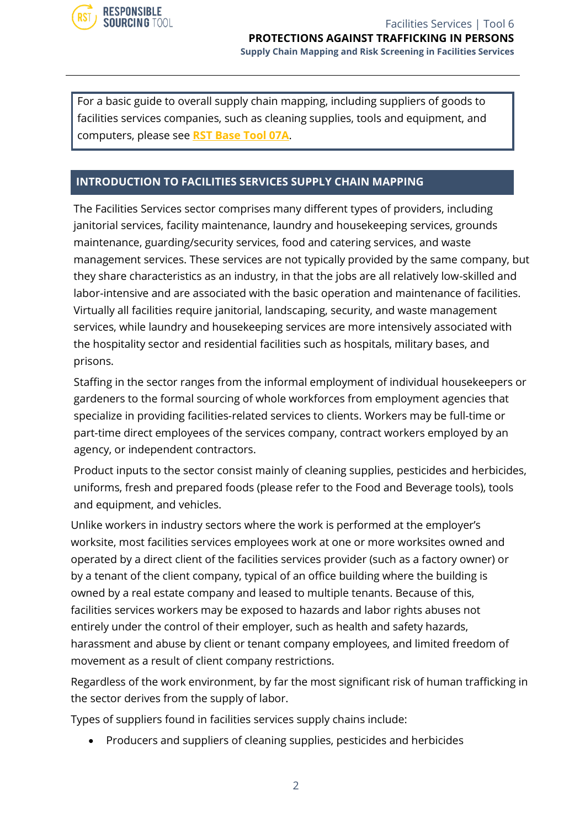

For a basic guide to overall supply chain mapping, including suppliers of goods to facilities services companies, such as cleaning supplies, tools and equipment, and computers, please see **RST Base Tool 07A**.

#### **INTRODUCTION TO FACILITIES SERVICES SUPPLY CHAIN MAPPING**

The Facilities Services sector comprises many different types of providers, including janitorial services, facility maintenance, laundry and housekeeping services, grounds maintenance, guarding/security services, food and catering services, and waste management services. These services are not typically provided by the same company, but they share characteristics as an industry, in that the jobs are all relatively low-skilled and labor-intensive and are associated with the basic operation and maintenance of facilities. Virtually all facilities require janitorial, landscaping, security, and waste management services, while laundry and housekeeping services are more intensively associated with the hospitality sector and residential facilities such as hospitals, military bases, and prisons.

Staffing in the sector ranges from the informal employment of individual housekeepers or gardeners to the formal sourcing of whole workforces from employment agencies that specialize in providing facilities-related services to clients. Workers may be full-time or part-time direct employees of the services company, contract workers employed by an agency, or independent contractors.

Product inputs to the sector consist mainly of cleaning supplies, pesticides and herbicides, uniforms, fresh and prepared foods (please refer to the Food and Beverage tools), tools and equipment, and vehicles.

Unlike workers in industry sectors where the work is performed at the employer's worksite, most facilities services employees work at one or more worksites owned and operated by a direct client of the facilities services provider (such as a factory owner) or by a tenant of the client company, typical of an office building where the building is owned by a real estate company and leased to multiple tenants. Because of this, facilities services workers may be exposed to hazards and labor rights abuses not entirely under the control of their employer, such as health and safety hazards, harassment and abuse by client or tenant company employees, and limited freedom of movement as a result of client company restrictions.

Regardless of the work environment, by far the most significant risk of human trafficking in the sector derives from the supply of labor.

Types of suppliers found in facilities services supply chains include:

• Producers and suppliers of cleaning supplies, pesticides and herbicides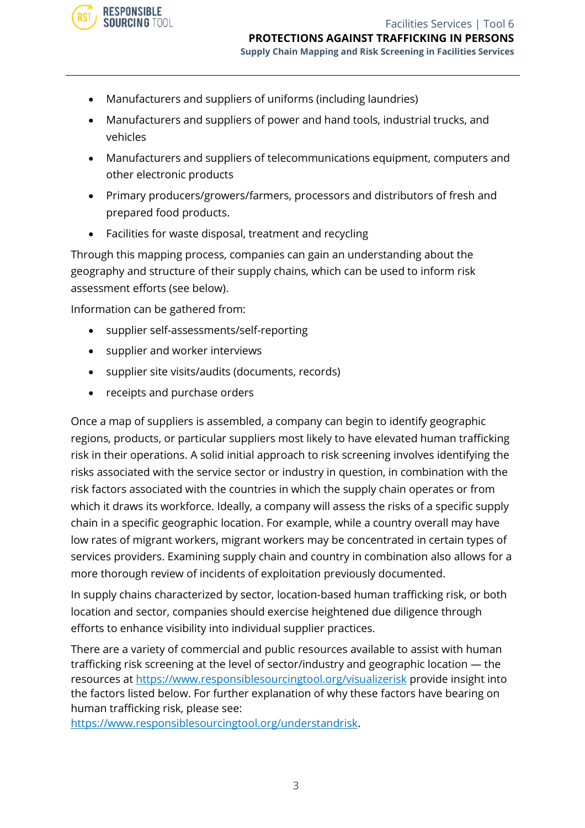

- Manufacturers and suppliers of uniforms (including laundries)
- Manufacturers and suppliers of power and hand tools, industrial trucks, and vehicles
- Manufacturers and suppliers of telecommunications equipment, computers and other electronic products
- Primary producers/growers/farmers, processors and distributors of fresh and prepared food products.
- Facilities for waste disposal, treatment and recycling

Through this mapping process, companies can gain an understanding about the geography and structure of their supply chains, which can be used to inform risk assessment efforts (see below).

Information can be gathered from:

- supplier self-assessments/self-reporting
- supplier and worker interviews
- supplier site visits/audits (documents, records)
- receipts and purchase orders

Once a map of suppliers is assembled, a company can begin to identify geographic regions, products, or particular suppliers most likely to have elevated human trafficking risk in their operations. A solid initial approach to risk screening involves identifying the risks associated with the service sector or industry in question, in combination with the risk factors associated with the countries in which the supply chain operates or from which it draws its workforce. Ideally, a company will assess the risks of a specific supply chain in a specific geographic location. For example, while a country overall may have low rates of migrant workers, migrant workers may be concentrated in certain types of services providers. Examining supply chain and country in combination also allows for a more thorough review of incidents of exploitation previously documented.

In supply chains characterized by sector, location-based human trafficking risk, or both location and sector, companies should exercise heightened due diligence through efforts to enhance visibility into individual supplier practices.

There are a variety of commercial and public resources available to assist with human trafficking risk screening at the level of sector/industry and geographic location — the resources at <https://www.responsiblesourcingtool.org/visualizerisk> provide insight into the factors listed below. For further explanation of why these factors have bearing on human trafficking risk, please see:

[https://www.responsiblesourcingtool.org/understandrisk.](https://www.responsiblesourcingtool.org/understandrisk)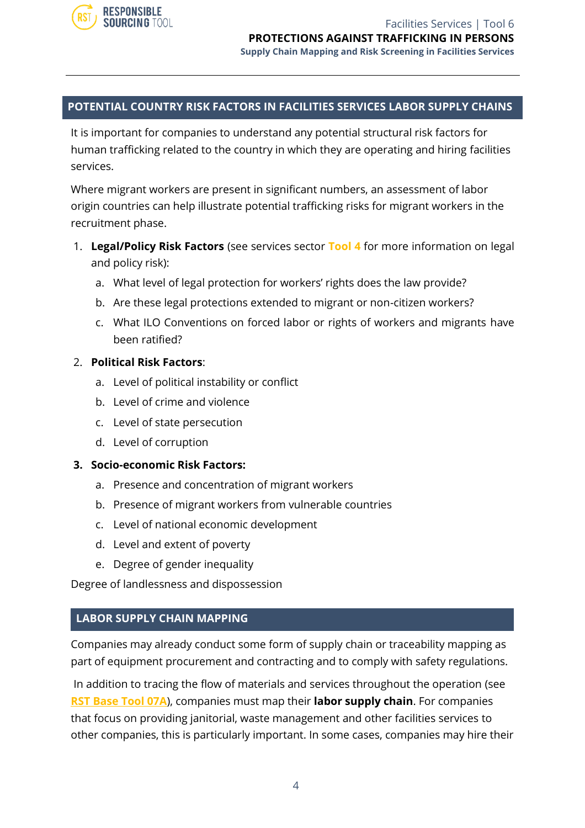

#### **POTENTIAL COUNTRY RISK FACTORS IN FACILITIES SERVICES LABOR SUPPLY CHAINS**

It is important for companies to understand any potential structural risk factors for human trafficking related to the country in which they are operating and hiring facilities services.

Where migrant workers are present in significant numbers, an assessment of labor origin countries can help illustrate potential trafficking risks for migrant workers in the recruitment phase.

- 1. **Legal/Policy Risk Factors** (see services sector **Tool 4** for more information on legal and policy risk):
	- a. What level of legal protection for workers' rights does the law provide?
	- b. Are these legal protections extended to migrant or non-citizen workers?
	- c. What ILO Conventions on forced labor or rights of workers and migrants have been ratified?

#### 2. **Political Risk Factors**:

- a. Level of political instability or conflict
- b. Level of crime and violence
- c. Level of state persecution
- d. Level of corruption

#### **3. Socio-economic Risk Factors:**

- a. Presence and concentration of migrant workers
- b. Presence of migrant workers from vulnerable countries
- c. Level of national economic development
- d. Level and extent of poverty
- e. Degree of gender inequality

Degree of landlessness and dispossession

#### **LABOR SUPPLY CHAIN MAPPING**

Companies may already conduct some form of supply chain or traceability mapping as part of equipment procurement and contracting and to comply with safety regulations.

In addition to tracing the flow of materials and services throughout the operation (see **RST Base Tool 07A**), companies must map their **labor supply chain**. For companies that focus on providing janitorial, waste management and other facilities services to other companies, this is particularly important. In some cases, companies may hire their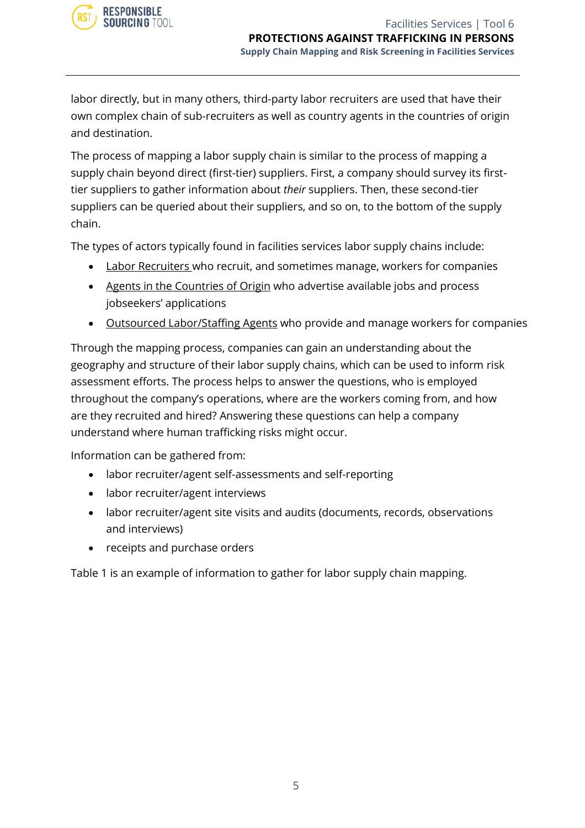labor directly, but in many others, third-party labor recruiters are used that have their own complex chain of sub-recruiters as well as country agents in the countries of origin and destination.

The process of mapping a labor supply chain is similar to the process of mapping a supply chain beyond direct (first-tier) suppliers. First, a company should survey its firsttier suppliers to gather information about *their* suppliers. Then, these second-tier suppliers can be queried about their suppliers, and so on, to the bottom of the supply chain.

The types of actors typically found in facilities services labor supply chains include:

- Labor Recruiters who recruit, and sometimes manage, workers for companies
- Agents in the Countries of Origin who advertise available jobs and process jobseekers' applications
- Outsourced Labor/Staffing Agents who provide and manage workers for companies

Through the mapping process, companies can gain an understanding about the geography and structure of their labor supply chains, which can be used to inform risk assessment efforts. The process helps to answer the questions, who is employed throughout the company's operations, where are the workers coming from, and how are they recruited and hired? Answering these questions can help a company understand where human trafficking risks might occur.

Information can be gathered from:

- labor recruiter/agent self-assessments and self-reporting
- labor recruiter/agent interviews
- labor recruiter/agent site visits and audits (documents, records, observations and interviews)
- receipts and purchase orders

Table 1 is an example of information to gather for labor supply chain mapping.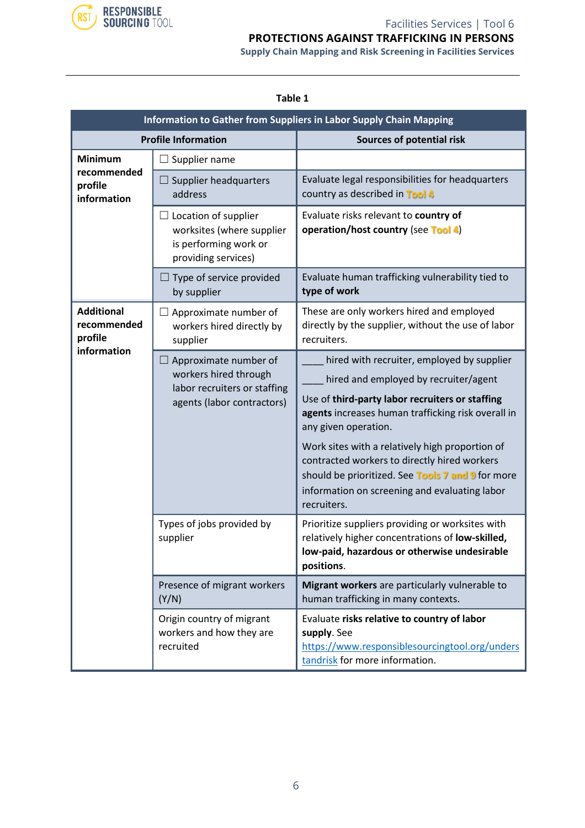

#### Facilities Services | Tool 6 **PROTECTIONS AGAINST TRAFFICKING IN PERSONS**

**Supply Chain Mapping and Risk Screening in Facilities Services**

| Information to Gather from Suppliers in Labor Supply Chain Mapping |                                                                                                              |                                                                                                                                                                                                                                                                                                                                                                                                                                              |
|--------------------------------------------------------------------|--------------------------------------------------------------------------------------------------------------|----------------------------------------------------------------------------------------------------------------------------------------------------------------------------------------------------------------------------------------------------------------------------------------------------------------------------------------------------------------------------------------------------------------------------------------------|
| <b>Profile Information</b>                                         |                                                                                                              | Sources of potential risk                                                                                                                                                                                                                                                                                                                                                                                                                    |
| <b>Minimum</b><br>recommended<br>profile<br>information            | $\Box$ Supplier name                                                                                         |                                                                                                                                                                                                                                                                                                                                                                                                                                              |
|                                                                    | $\Box$ Supplier headquarters<br>address                                                                      | Evaluate legal responsibilities for headquarters<br>country as described in Tool 4                                                                                                                                                                                                                                                                                                                                                           |
|                                                                    | $\Box$ Location of supplier<br>worksites (where supplier<br>is performing work or<br>providing services)     | Evaluate risks relevant to country of<br>operation/host country (see Tool 4)                                                                                                                                                                                                                                                                                                                                                                 |
|                                                                    | $\Box$ Type of service provided<br>by supplier                                                               | Evaluate human trafficking vulnerability tied to<br>type of work                                                                                                                                                                                                                                                                                                                                                                             |
| <b>Additional</b><br>recommended<br>profile<br>information         | $\Box$ Approximate number of<br>workers hired directly by<br>supplier                                        | These are only workers hired and employed<br>directly by the supplier, without the use of labor<br>recruiters.                                                                                                                                                                                                                                                                                                                               |
|                                                                    | Approximate number of<br>workers hired through<br>labor recruiters or staffing<br>agents (labor contractors) | hired with recruiter, employed by supplier<br>hired and employed by recruiter/agent<br>Use of third-party labor recruiters or staffing<br>agents increases human trafficking risk overall in<br>any given operation.<br>Work sites with a relatively high proportion of<br>contracted workers to directly hired workers<br>should be prioritized. See Tools 7 and 9 for more<br>information on screening and evaluating labor<br>recruiters. |
|                                                                    | Types of jobs provided by<br>supplier                                                                        | Prioritize suppliers providing or worksites with<br>relatively higher concentrations of low-skilled,<br>low-paid, hazardous or otherwise undesirable<br>positions.                                                                                                                                                                                                                                                                           |
|                                                                    | Presence of migrant workers<br>(Y/N)                                                                         | Migrant workers are particularly vulnerable to<br>human trafficking in many contexts.                                                                                                                                                                                                                                                                                                                                                        |
|                                                                    | Origin country of migrant<br>workers and how they are<br>recruited                                           | Evaluate risks relative to country of labor<br>supply. See<br>https://www.responsiblesourcingtool.org/unders<br>tandrisk for more information.                                                                                                                                                                                                                                                                                               |

#### **Table 1**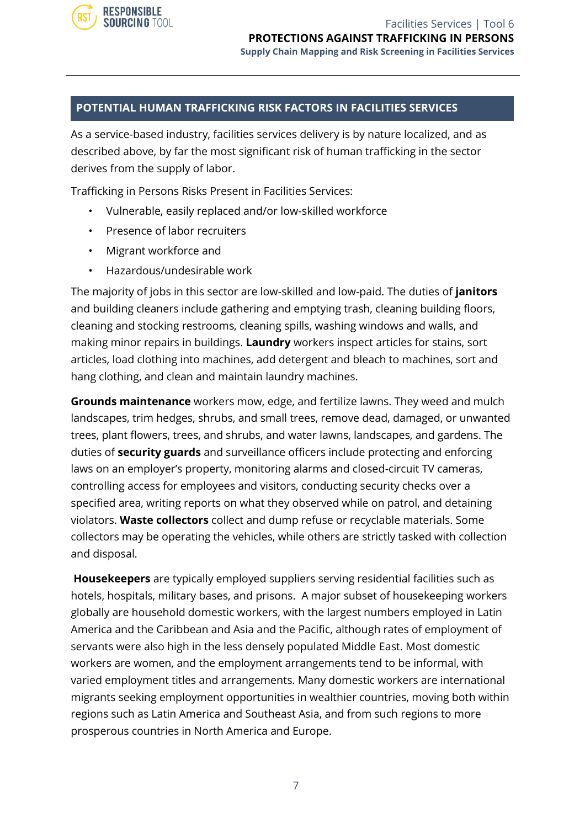

#### **POTENTIAL HUMAN TRAFFICKING RISK FACTORS IN FACILITIES SERVICES**

As a service-based industry, facilities services delivery is by nature localized, and as described above, by far the most significant risk of human trafficking in the sector derives from the supply of labor.

Trafficking in Persons Risks Present in Facilities Services:

- Vulnerable, easily replaced and/or low-skilled workforce
- Presence of labor recruiters
- Migrant workforce and
- Hazardous/undesirable work

The majority of jobs in this sector are low-skilled and low-paid. The duties of **janitors** and building cleaners include gathering and emptying trash, cleaning building floors, cleaning and stocking restrooms, cleaning spills, washing windows and walls, and making minor repairs in buildings. **Laundry** workers inspect articles for stains, sort articles, load clothing into machines, add detergent and bleach to machines, sort and hang clothing, and clean and maintain laundry machines.

**Grounds maintenance** workers mow, edge, and fertilize lawns. They weed and mulch landscapes, trim hedges, shrubs, and small trees, remove dead, damaged, or unwanted trees, plant flowers, trees, and shrubs, and water lawns, landscapes, and gardens. The duties of **security guards** and surveillance officers include protecting and enforcing laws on an employer's property, monitoring alarms and closed-circuit TV cameras, controlling access for employees and visitors, conducting security checks over a specified area, writing reports on what they observed while on patrol, and detaining violators. **Waste collectors** collect and dump refuse or recyclable materials. Some collectors may be operating the vehicles, while others are strictly tasked with collection and disposal.

**Housekeepers** are typically employed suppliers serving residential facilities such as hotels, hospitals, military bases, and prisons. A major subset of housekeeping workers globally are household domestic workers, with the largest numbers employed in Latin America and the Caribbean and Asia and the Pacific, although rates of employment of servants were also high in the less densely populated Middle East. Most domestic workers are women, and the employment arrangements tend to be informal, with varied employment titles and arrangements. Many domestic workers are international migrants seeking employment opportunities in wealthier countries, moving both within regions such as Latin America and Southeast Asia, and from such regions to more prosperous countries in North America and Europe.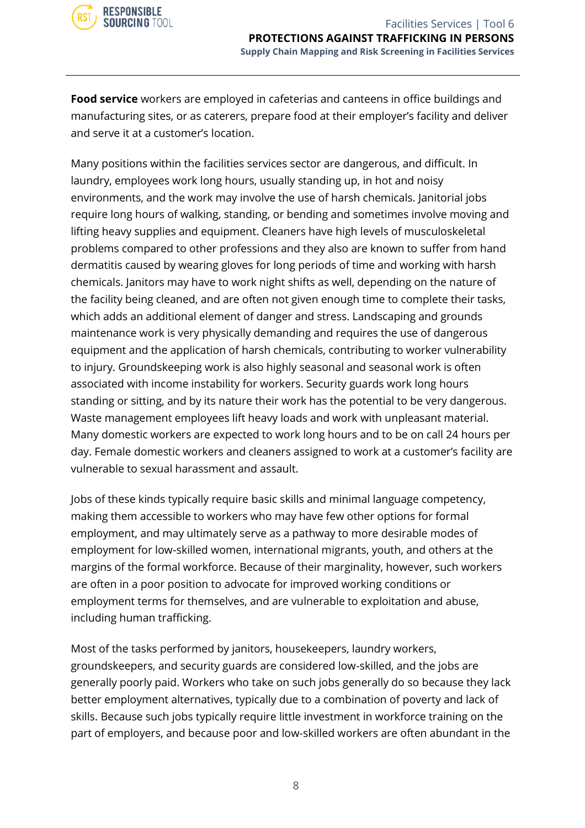

**Food service** workers are employed in cafeterias and canteens in office buildings and manufacturing sites, or as caterers, prepare food at their employer's facility and deliver and serve it at a customer's location.

Many positions within the facilities services sector are dangerous, and difficult. In laundry, employees work long hours, usually standing up, in hot and noisy environments, and the work may involve the use of harsh chemicals. Janitorial jobs require long hours of walking, standing, or bending and sometimes involve moving and lifting heavy supplies and equipment. Cleaners have high levels of musculoskeletal problems compared to other professions and they also are known to suffer from hand dermatitis caused by wearing gloves for long periods of time and working with harsh chemicals. Janitors may have to work night shifts as well, depending on the nature of the facility being cleaned, and are often not given enough time to complete their tasks, which adds an additional element of danger and stress. Landscaping and grounds maintenance work is very physically demanding and requires the use of dangerous equipment and the application of harsh chemicals, contributing to worker vulnerability to injury. Groundskeeping work is also highly seasonal and seasonal work is often associated with income instability for workers. Security guards work long hours standing or sitting, and by its nature their work has the potential to be very dangerous. Waste management employees lift heavy loads and work with unpleasant material. Many domestic workers are expected to work long hours and to be on call 24 hours per day. Female domestic workers and cleaners assigned to work at a customer's facility are vulnerable to sexual harassment and assault.

Jobs of these kinds typically require basic skills and minimal language competency, making them accessible to workers who may have few other options for formal employment, and may ultimately serve as a pathway to more desirable modes of employment for low-skilled women, international migrants, youth, and others at the margins of the formal workforce. Because of their marginality, however, such workers are often in a poor position to advocate for improved working conditions or employment terms for themselves, and are vulnerable to exploitation and abuse, including human trafficking.

Most of the tasks performed by janitors, housekeepers, laundry workers, groundskeepers, and security guards are considered low-skilled, and the jobs are generally poorly paid. Workers who take on such jobs generally do so because they lack better employment alternatives, typically due to a combination of poverty and lack of skills. Because such jobs typically require little investment in workforce training on the part of employers, and because poor and low-skilled workers are often abundant in the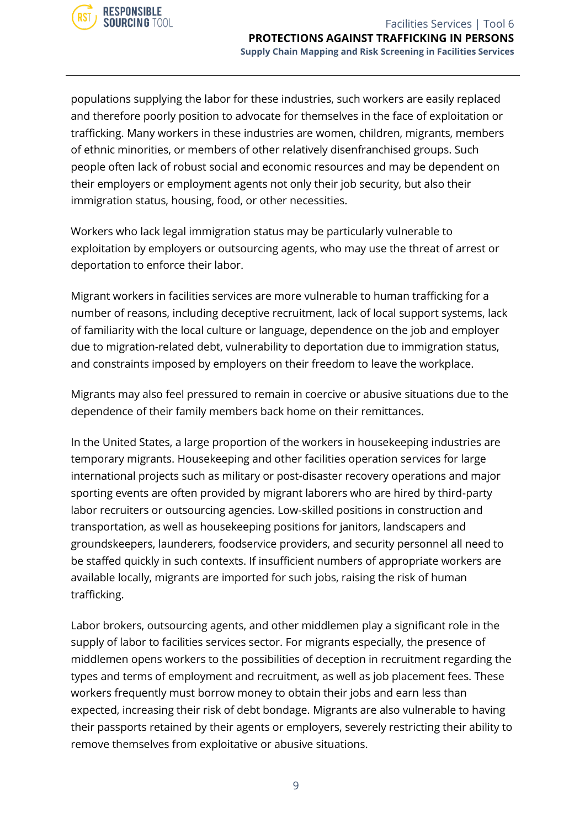populations supplying the labor for these industries, such workers are easily replaced and therefore poorly position to advocate for themselves in the face of exploitation or trafficking. Many workers in these industries are women, children, migrants, members of ethnic minorities, or members of other relatively disenfranchised groups. Such people often lack of robust social and economic resources and may be dependent on their employers or employment agents not only their job security, but also their immigration status, housing, food, or other necessities.

Workers who lack legal immigration status may be particularly vulnerable to exploitation by employers or outsourcing agents, who may use the threat of arrest or deportation to enforce their labor.

Migrant workers in facilities services are more vulnerable to human trafficking for a number of reasons, including deceptive recruitment, lack of local support systems, lack of familiarity with the local culture or language, dependence on the job and employer due to migration-related debt, vulnerability to deportation due to immigration status, and constraints imposed by employers on their freedom to leave the workplace.

Migrants may also feel pressured to remain in coercive or abusive situations due to the dependence of their family members back home on their remittances.

In the United States, a large proportion of the workers in housekeeping industries are temporary migrants. Housekeeping and other facilities operation services for large international projects such as military or post-disaster recovery operations and major sporting events are often provided by migrant laborers who are hired by third-party labor recruiters or outsourcing agencies. Low-skilled positions in construction and transportation, as well as housekeeping positions for janitors, landscapers and groundskeepers, launderers, foodservice providers, and security personnel all need to be staffed quickly in such contexts. If insufficient numbers of appropriate workers are available locally, migrants are imported for such jobs, raising the risk of human trafficking.

Labor brokers, outsourcing agents, and other middlemen play a significant role in the supply of labor to facilities services sector. For migrants especially, the presence of middlemen opens workers to the possibilities of deception in recruitment regarding the types and terms of employment and recruitment, as well as job placement fees. These workers frequently must borrow money to obtain their jobs and earn less than expected, increasing their risk of debt bondage. Migrants are also vulnerable to having their passports retained by their agents or employers, severely restricting their ability to remove themselves from exploitative or abusive situations.